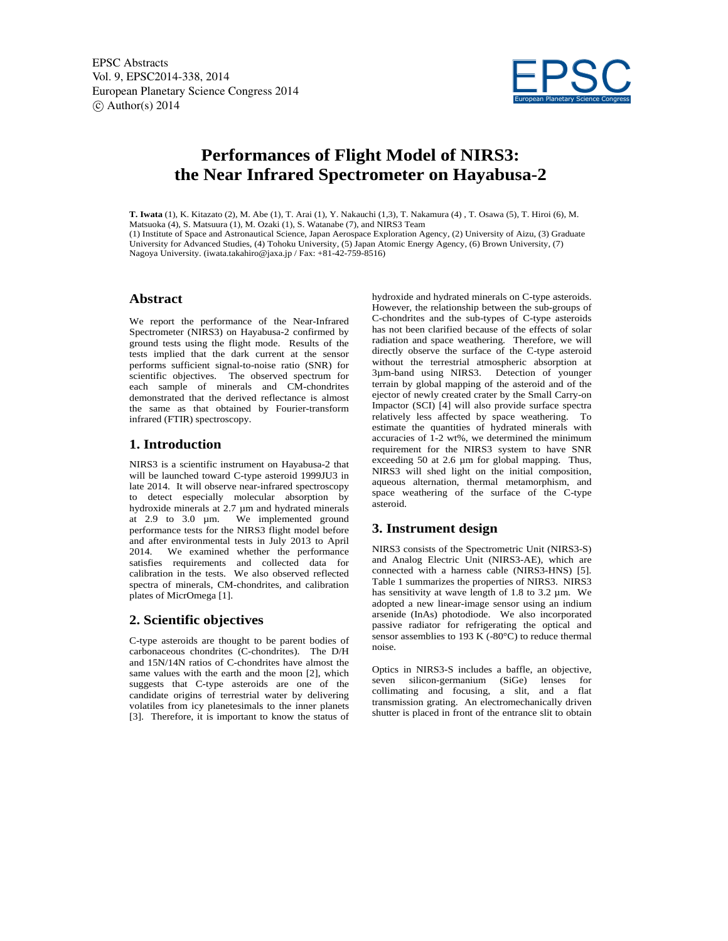EPSC Abstracts Vol. 9, EPSC2014-338, 2014 European Planetary Science Congress 2014  $\circ$  Author(s) 2014



# **Performances of Flight Model of NIRS3: the Near Infrared Spectrometer on Hayabusa-2**

**T. Iwata** (1), K. Kitazato (2), M. Abe (1), T. Arai (1), Y. Nakauchi (1,3), T. Nakamura (4) , T. Osawa (5), T. Hiroi (6), M. Matsuoka (4), S. Matsuura (1), M. Ozaki (1), S. Watanabe (7), and NIRS3 Team (1) Institute of Space and Astronautical Science, Japan Aerospace Exploration Agency, (2) University of Aizu, (3) Graduate University for Advanced Studies, (4) Tohoku University, (5) Japan Atomic Energy Agency, (6) Brown University, (7)

#### **Abstract**

We report the performance of the Near-Infrared Spectrometer (NIRS3) on Hayabusa-2 confirmed by ground tests using the flight mode. Results of the tests implied that the dark current at the sensor performs sufficient signal-to-noise ratio (SNR) for scientific objectives. The observed spectrum for each sample of minerals and CM-chondrites demonstrated that the derived reflectance is almost the same as that obtained by Fourier-transform infrared (FTIR) spectroscopy.

Nagoya University. (iwata.takahiro@jaxa.jp / Fax: +81-42-759-8516)

#### **1. Introduction**

NIRS3 is a scientific instrument on Hayabusa-2 that will be launched toward C-type asteroid 1999JU3 in late 2014. It will observe near-infrared spectroscopy to detect especially molecular absorption by hydroxide minerals at 2.7 µm and hydrated minerals at 2.9 to 3.0 µm. We implemented ground performance tests for the NIRS3 flight model before and after environmental tests in July 2013 to April 2014. We examined whether the performance satisfies requirements and collected data for calibration in the tests. We also observed reflected spectra of minerals, CM-chondrites, and calibration plates of MicrOmega [1].

#### **2. Scientific objectives**

C-type asteroids are thought to be parent bodies of carbonaceous chondrites (C-chondrites). The D/H and 15N/14N ratios of C-chondrites have almost the same values with the earth and the moon [2], which suggests that C-type asteroids are one of the candidate origins of terrestrial water by delivering volatiles from icy planetesimals to the inner planets [3]. Therefore, it is important to know the status of hydroxide and hydrated minerals on C-type asteroids. However, the relationship between the sub-groups of C-chondrites and the sub-types of C-type asteroids has not been clarified because of the effects of solar radiation and space weathering. Therefore, we will directly observe the surface of the C-type asteroid without the terrestrial atmospheric absorption at 3µm-band using NIRS3. Detection of younger terrain by global mapping of the asteroid and of the ejector of newly created crater by the Small Carry-on Impactor (SCI) [4] will also provide surface spectra relatively less affected by space weathering. To estimate the quantities of hydrated minerals with accuracies of 1-2 wt%, we determined the minimum requirement for the NIRS3 system to have SNR exceeding 50 at 2.6 µm for global mapping. Thus, NIRS3 will shed light on the initial composition, aqueous alternation, thermal metamorphism, and space weathering of the surface of the C-type asteroid.

### **3. Instrument design**

NIRS3 consists of the Spectrometric Unit (NIRS3-S) and Analog Electric Unit (NIRS3-AE), which are connected with a harness cable (NIRS3-HNS) [5]. Table 1 summarizes the properties of NIRS3. NIRS3 has sensitivity at wave length of  $1.8$  to  $3.2 \mu$ m. We adopted a new linear-image sensor using an indium arsenide (InAs) photodiode. We also incorporated passive radiator for refrigerating the optical and sensor assemblies to 193 K  $(-80^{\circ}C)$  to reduce thermal noise.

Optics in NIRS3-S includes a baffle, an objective, seven silicon-germanium (SiGe) lenses for collimating and focusing, a slit, and a flat transmission grating. An electromechanically driven shutter is placed in front of the entrance slit to obtain